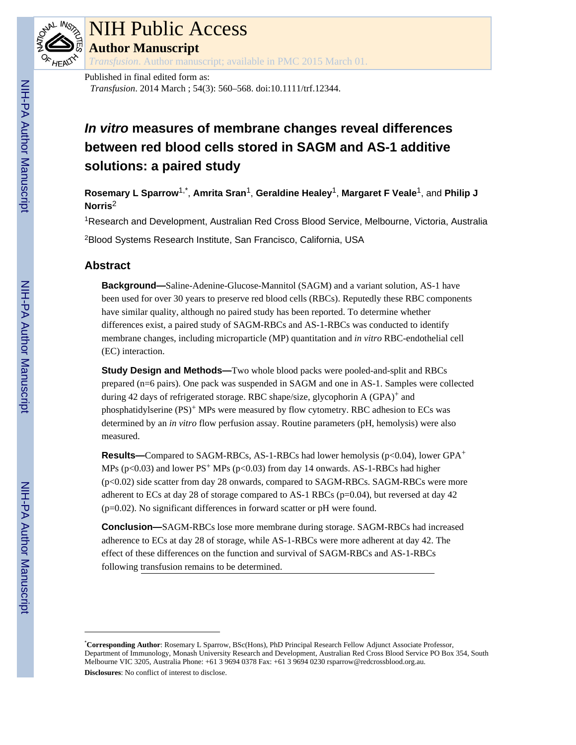

# NIH Public Access

**Author Manuscript**

*Transfusion*. Author manuscript; available in PMC 2015 March 01.

Published in final edited form as: *Transfusion*. 2014 March ; 54(3): 560–568. doi:10.1111/trf.12344.

# **In vitro measures of membrane changes reveal differences between red blood cells stored in SAGM and AS-1 additive solutions: a paired study**

**Rosemary L Sparrow**1,\* , **Amrita Sran**1, **Geraldine Healey**1, **Margaret F Veale**1, and **Philip J Norris**<sup>2</sup>

<sup>1</sup>Research and Development, Australian Red Cross Blood Service, Melbourne, Victoria, Australia

<sup>2</sup>Blood Systems Research Institute, San Francisco, California, USA

# **Abstract**

**Background—**Saline-Adenine-Glucose-Mannitol (SAGM) and a variant solution, AS-1 have been used for over 30 years to preserve red blood cells (RBCs). Reputedly these RBC components have similar quality, although no paired study has been reported. To determine whether differences exist, a paired study of SAGM-RBCs and AS-1-RBCs was conducted to identify membrane changes, including microparticle (MP) quantitation and *in vitro* RBC-endothelial cell (EC) interaction.

**Study Design and Methods—**Two whole blood packs were pooled-and-split and RBCs prepared (n=6 pairs). One pack was suspended in SAGM and one in AS-1. Samples were collected during 42 days of refrigerated storage. RBC shape/size, glycophorin A (GPA)+ and phosphatidylserine (PS)+ MPs were measured by flow cytometry. RBC adhesion to ECs was determined by an *in vitro* flow perfusion assay. Routine parameters (pH, hemolysis) were also measured.

**Results—**Compared to SAGM-RBCs, AS-1-RBCs had lower hemolysis (p<0.04), lower GPA<sup>+</sup> MPs (p<0.03) and lower  $PS<sup>+</sup>$  MPs (p<0.03) from day 14 onwards. AS-1-RBCs had higher (p<0.02) side scatter from day 28 onwards, compared to SAGM-RBCs. SAGM-RBCs were more adherent to ECs at day 28 of storage compared to AS-1 RBCs (p=0.04), but reversed at day 42 (p=0.02). No significant differences in forward scatter or pH were found.

**Conclusion—**SAGM-RBCs lose more membrane during storage. SAGM-RBCs had increased adherence to ECs at day 28 of storage, while AS-1-RBCs were more adherent at day 42. The effect of these differences on the function and survival of SAGM-RBCs and AS-1-RBCs following transfusion remains to be determined.

<sup>\*</sup>**Corresponding Author**: Rosemary L Sparrow, BSc(Hons), PhD Principal Research Fellow Adjunct Associate Professor, Department of Immunology, Monash University Research and Development, Australian Red Cross Blood Service PO Box 354, South Melbourne VIC 3205, Australia Phone: +61 3 9694 0378 Fax: +61 3 9694 0230 rsparrow@redcrossblood.org.au. **Disclosures**: No conflict of interest to disclose.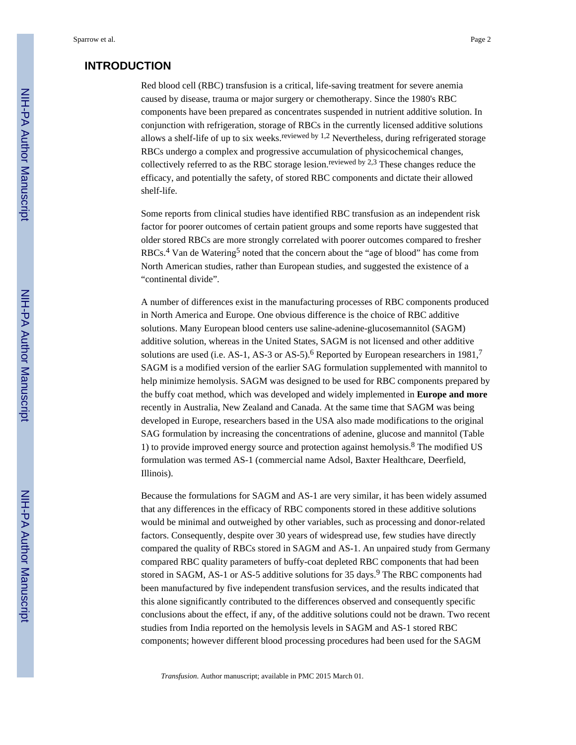# **INTRODUCTION**

Red blood cell (RBC) transfusion is a critical, life-saving treatment for severe anemia caused by disease, trauma or major surgery or chemotherapy. Since the 1980's RBC components have been prepared as concentrates suspended in nutrient additive solution. In conjunction with refrigeration, storage of RBCs in the currently licensed additive solutions allows a shelf-life of up to six weeks.<sup>reviewed by 1,2</sup> Nevertheless, during refrigerated storage RBCs undergo a complex and progressive accumulation of physicochemical changes, collectively referred to as the RBC storage lesion.<sup>reviewed by 2,3</sup> These changes reduce the efficacy, and potentially the safety, of stored RBC components and dictate their allowed shelf-life.

Some reports from clinical studies have identified RBC transfusion as an independent risk factor for poorer outcomes of certain patient groups and some reports have suggested that older stored RBCs are more strongly correlated with poorer outcomes compared to fresher RBCs.<sup>4</sup> Van de Watering<sup>5</sup> noted that the concern about the "age of blood" has come from North American studies, rather than European studies, and suggested the existence of a "continental divide".

A number of differences exist in the manufacturing processes of RBC components produced in North America and Europe. One obvious difference is the choice of RBC additive solutions. Many European blood centers use saline-adenine-glucosemannitol (SAGM) additive solution, whereas in the United States, SAGM is not licensed and other additive solutions are used (i.e. AS-1, AS-3 or AS-5).<sup>6</sup> Reported by European researchers in 1981,<sup>7</sup> SAGM is a modified version of the earlier SAG formulation supplemented with mannitol to help minimize hemolysis. SAGM was designed to be used for RBC components prepared by the buffy coat method, which was developed and widely implemented in **Europe and more** recently in Australia, New Zealand and Canada. At the same time that SAGM was being developed in Europe, researchers based in the USA also made modifications to the original SAG formulation by increasing the concentrations of adenine, glucose and mannitol (Table 1) to provide improved energy source and protection against hemolysis.<sup>8</sup> The modified US formulation was termed AS-1 (commercial name Adsol, Baxter Healthcare, Deerfield, Illinois).

Because the formulations for SAGM and AS-1 are very similar, it has been widely assumed that any differences in the efficacy of RBC components stored in these additive solutions would be minimal and outweighed by other variables, such as processing and donor-related factors. Consequently, despite over 30 years of widespread use, few studies have directly compared the quality of RBCs stored in SAGM and AS-1. An unpaired study from Germany compared RBC quality parameters of buffy-coat depleted RBC components that had been stored in SAGM, AS-1 or AS-5 additive solutions for 35 days.<sup>9</sup> The RBC components had been manufactured by five independent transfusion services, and the results indicated that this alone significantly contributed to the differences observed and consequently specific conclusions about the effect, if any, of the additive solutions could not be drawn. Two recent studies from India reported on the hemolysis levels in SAGM and AS-1 stored RBC components; however different blood processing procedures had been used for the SAGM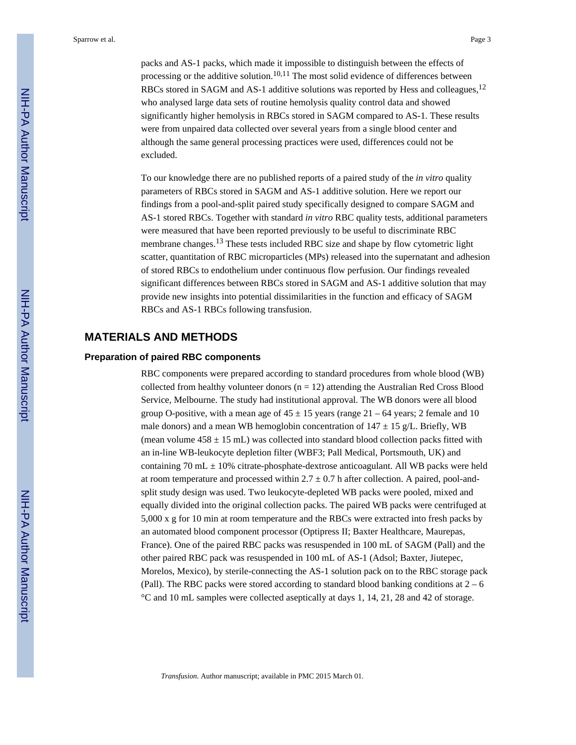packs and AS-1 packs, which made it impossible to distinguish between the effects of processing or the additive solution.<sup>10,11</sup> The most solid evidence of differences between RBCs stored in SAGM and AS-1 additive solutions was reported by Hess and colleagues,<sup>12</sup> who analysed large data sets of routine hemolysis quality control data and showed significantly higher hemolysis in RBCs stored in SAGM compared to AS-1. These results were from unpaired data collected over several years from a single blood center and although the same general processing practices were used, differences could not be excluded.

To our knowledge there are no published reports of a paired study of the *in vitro* quality parameters of RBCs stored in SAGM and AS-1 additive solution. Here we report our findings from a pool-and-split paired study specifically designed to compare SAGM and AS-1 stored RBCs. Together with standard *in vitro* RBC quality tests, additional parameters were measured that have been reported previously to be useful to discriminate RBC membrane changes.<sup>13</sup> These tests included RBC size and shape by flow cytometric light scatter, quantitation of RBC microparticles (MPs) released into the supernatant and adhesion of stored RBCs to endothelium under continuous flow perfusion. Our findings revealed significant differences between RBCs stored in SAGM and AS-1 additive solution that may provide new insights into potential dissimilarities in the function and efficacy of SAGM RBCs and AS-1 RBCs following transfusion.

#### **MATERIALS AND METHODS**

#### **Preparation of paired RBC components**

RBC components were prepared according to standard procedures from whole blood (WB) collected from healthy volunteer donors  $(n = 12)$  attending the Australian Red Cross Blood Service, Melbourne. The study had institutional approval. The WB donors were all blood group O-positive, with a mean age of  $45 \pm 15$  years (range  $21 - 64$  years; 2 female and 10 male donors) and a mean WB hemoglobin concentration of  $147 \pm 15$  g/L. Briefly, WB (mean volume  $458 \pm 15$  mL) was collected into standard blood collection packs fitted with an in-line WB-leukocyte depletion filter (WBF3; Pall Medical, Portsmouth, UK) and containing  $70$  mL  $\pm$  10% citrate-phosphate-dextrose anticoagulant. All WB packs were held at room temperature and processed within  $2.7 \pm 0.7$  h after collection. A paired, pool-andsplit study design was used. Two leukocyte-depleted WB packs were pooled, mixed and equally divided into the original collection packs. The paired WB packs were centrifuged at 5,000 x g for 10 min at room temperature and the RBCs were extracted into fresh packs by an automated blood component processor (Optipress II; Baxter Healthcare, Maurepas, France). One of the paired RBC packs was resuspended in 100 mL of SAGM (Pall) and the other paired RBC pack was resuspended in 100 mL of AS-1 (Adsol; Baxter, Jiutepec, Morelos, Mexico), by sterile-connecting the AS-1 solution pack on to the RBC storage pack (Pall). The RBC packs were stored according to standard blood banking conditions at 2 – 6 °C and 10 mL samples were collected aseptically at days 1, 14, 21, 28 and 42 of storage.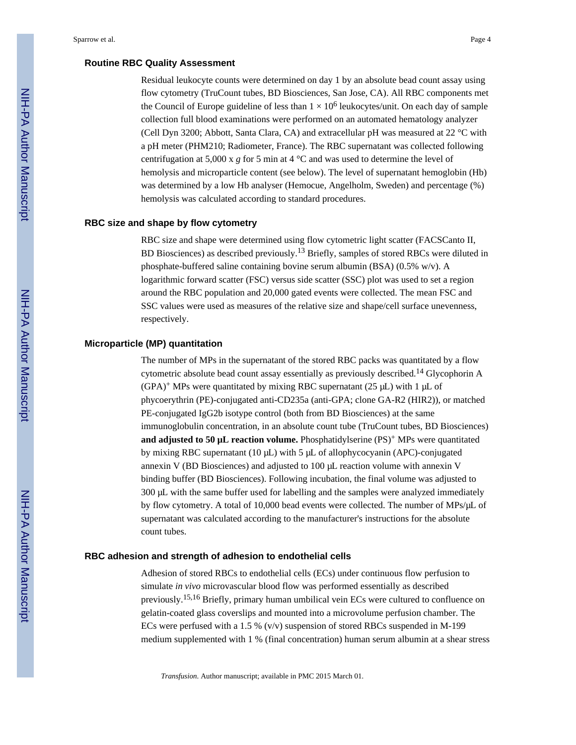#### **Routine RBC Quality Assessment**

Residual leukocyte counts were determined on day 1 by an absolute bead count assay using flow cytometry (TruCount tubes, BD Biosciences, San Jose, CA). All RBC components met the Council of Europe guideline of less than  $1 \times 10^6$  leukocytes/unit. On each day of sample collection full blood examinations were performed on an automated hematology analyzer (Cell Dyn 3200; Abbott, Santa Clara, CA) and extracellular pH was measured at 22 °C with a pH meter (PHM210; Radiometer, France). The RBC supernatant was collected following centrifugation at 5,000 x  $g$  for 5 min at 4  $^{\circ}$ C and was used to determine the level of hemolysis and microparticle content (see below). The level of supernatant hemoglobin (Hb) was determined by a low Hb analyser (Hemocue, Angelholm, Sweden) and percentage (%) hemolysis was calculated according to standard procedures.

#### **RBC size and shape by flow cytometry**

RBC size and shape were determined using flow cytometric light scatter (FACSCanto II, BD Biosciences) as described previously.<sup>13</sup> Briefly, samples of stored RBCs were diluted in phosphate-buffered saline containing bovine serum albumin (BSA) (0.5% w/v). A logarithmic forward scatter (FSC) versus side scatter (SSC) plot was used to set a region around the RBC population and 20,000 gated events were collected. The mean FSC and SSC values were used as measures of the relative size and shape/cell surface unevenness, respectively.

#### **Microparticle (MP) quantitation**

The number of MPs in the supernatant of the stored RBC packs was quantitated by a flow cytometric absolute bead count assay essentially as previously described.14 Glycophorin A  $(GPA)^+$  MPs were quantitated by mixing RBC supernatant (25  $\mu$ L) with 1  $\mu$ L of phycoerythrin (PE)-conjugated anti-CD235a (anti-GPA; clone GA-R2 (HIR2)), or matched PE-conjugated IgG2b isotype control (both from BD Biosciences) at the same immunoglobulin concentration, in an absolute count tube (TruCount tubes, BD Biosciences) **and adjusted to 50 µL reaction volume.** Phosphatidylserine  $(PS)^+$  MPs were quantitated by mixing RBC supernatant (10 μL) with 5 μL of allophycocyanin (APC)-conjugated annexin V (BD Biosciences) and adjusted to 100 μL reaction volume with annexin V binding buffer (BD Biosciences). Following incubation, the final volume was adjusted to 300 μL with the same buffer used for labelling and the samples were analyzed immediately by flow cytometry. A total of 10,000 bead events were collected. The number of MPs/μL of supernatant was calculated according to the manufacturer's instructions for the absolute count tubes.

#### **RBC adhesion and strength of adhesion to endothelial cells**

Adhesion of stored RBCs to endothelial cells (ECs) under continuous flow perfusion to simulate *in vivo* microvascular blood flow was performed essentially as described previously.15,16 Briefly, primary human umbilical vein ECs were cultured to confluence on gelatin-coated glass coverslips and mounted into a microvolume perfusion chamber. The ECs were perfused with a 1.5 % ( $v/v$ ) suspension of stored RBCs suspended in M-199 medium supplemented with 1 % (final concentration) human serum albumin at a shear stress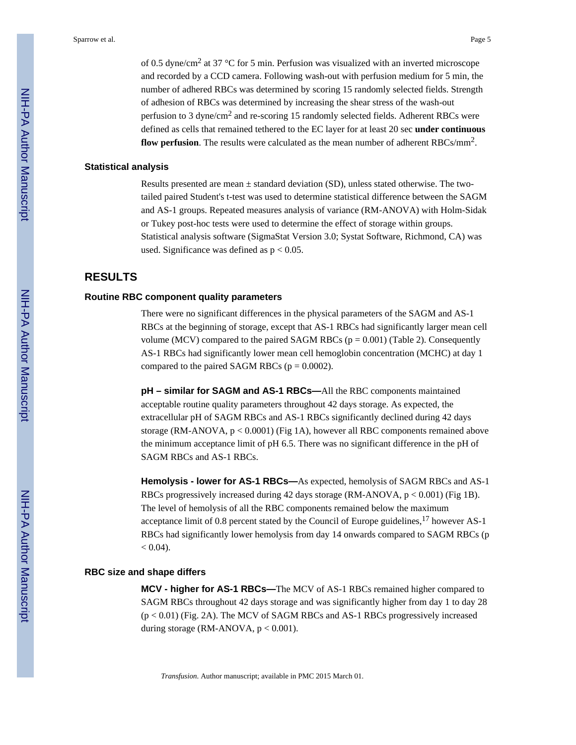of 0.5 dyne/cm<sup>2</sup> at 37 °C for 5 min. Perfusion was visualized with an inverted microscope and recorded by a CCD camera. Following wash-out with perfusion medium for 5 min, the number of adhered RBCs was determined by scoring 15 randomly selected fields. Strength of adhesion of RBCs was determined by increasing the shear stress of the wash-out perfusion to 3 dyne/cm<sup>2</sup> and re-scoring 15 randomly selected fields. Adherent RBCs were defined as cells that remained tethered to the EC layer for at least 20 sec **under continuous** flow perfusion. The results were calculated as the mean number of adherent RBCs/mm<sup>2</sup>.

#### **Statistical analysis**

Results presented are mean  $\pm$  standard deviation (SD), unless stated otherwise. The twotailed paired Student's t-test was used to determine statistical difference between the SAGM and AS-1 groups. Repeated measures analysis of variance (RM-ANOVA) with Holm-Sidak or Tukey post-hoc tests were used to determine the effect of storage within groups. Statistical analysis software (SigmaStat Version 3.0; Systat Software, Richmond, CA) was used. Significance was defined as  $p < 0.05$ .

### **RESULTS**

#### **Routine RBC component quality parameters**

There were no significant differences in the physical parameters of the SAGM and AS-1 RBCs at the beginning of storage, except that AS-1 RBCs had significantly larger mean cell volume (MCV) compared to the paired SAGM RBCs ( $p = 0.001$ ) (Table 2). Consequently AS-1 RBCs had significantly lower mean cell hemoglobin concentration (MCHC) at day 1 compared to the paired SAGM RBCs ( $p = 0.0002$ ).

**pH – similar for SAGM and AS-1 RBCs—**All the RBC components maintained acceptable routine quality parameters throughout 42 days storage. As expected, the extracellular pH of SAGM RBCs and AS-1 RBCs significantly declined during 42 days storage (RM-ANOVA,  $p < 0.0001$ ) (Fig 1A), however all RBC components remained above the minimum acceptance limit of pH 6.5. There was no significant difference in the pH of SAGM RBCs and AS-1 RBCs.

**Hemolysis - lower for AS-1 RBCs—**As expected, hemolysis of SAGM RBCs and AS-1 RBCs progressively increased during 42 days storage (RM-ANOVA,  $p < 0.001$ ) (Fig 1B). The level of hemolysis of all the RBC components remained below the maximum acceptance limit of 0.8 percent stated by the Council of Europe guidelines,  $^{17}$  however AS-1 RBCs had significantly lower hemolysis from day 14 onwards compared to SAGM RBCs (p  $< 0.04$ ).

#### **RBC size and shape differs**

**MCV - higher for AS-1 RBCs—**The MCV of AS-1 RBCs remained higher compared to SAGM RBCs throughout 42 days storage and was significantly higher from day 1 to day 28  $(p < 0.01)$  (Fig. 2A). The MCV of SAGM RBCs and AS-1 RBCs progressively increased during storage (RM-ANOVA,  $p < 0.001$ ).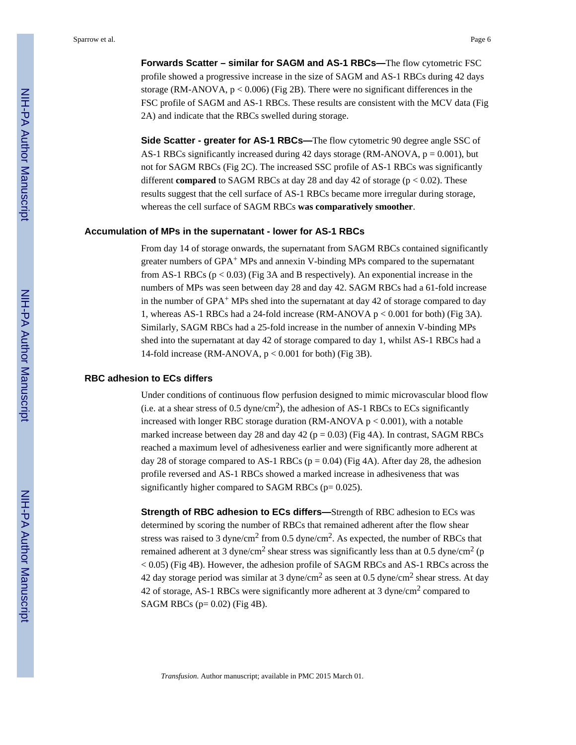**Forwards Scatter – similar for SAGM and AS-1 RBCs—**The flow cytometric FSC profile showed a progressive increase in the size of SAGM and AS-1 RBCs during 42 days storage (RM-ANOVA,  $p < 0.006$ ) (Fig 2B). There were no significant differences in the FSC profile of SAGM and AS-1 RBCs. These results are consistent with the MCV data (Fig 2A) and indicate that the RBCs swelled during storage.

**Side Scatter - greater for AS-1 RBCs—**The flow cytometric 90 degree angle SSC of AS-1 RBCs significantly increased during 42 days storage (RM-ANOVA,  $p = 0.001$ ), but not for SAGM RBCs (Fig 2C). The increased SSC profile of AS-1 RBCs was significantly different **compared** to SAGM RBCs at day 28 and day 42 of storage (p < 0.02). These results suggest that the cell surface of AS-1 RBCs became more irregular during storage, whereas the cell surface of SAGM RBCs **was comparatively smoother**.

#### **Accumulation of MPs in the supernatant - lower for AS-1 RBCs**

From day 14 of storage onwards, the supernatant from SAGM RBCs contained significantly greater numbers of  $GPA^+$  MPs and annexin V-binding MPs compared to the supernatant from AS-1 RBCs  $(p < 0.03)$  (Fig 3A and B respectively). An exponential increase in the numbers of MPs was seen between day 28 and day 42. SAGM RBCs had a 61-fold increase in the number of  $GPA<sup>+</sup> MPs$  shed into the supernatant at day 42 of storage compared to day 1, whereas AS-1 RBCs had a 24-fold increase (RM-ANOVA p < 0.001 for both) (Fig 3A). Similarly, SAGM RBCs had a 25-fold increase in the number of annexin V-binding MPs shed into the supernatant at day 42 of storage compared to day 1, whilst AS-1 RBCs had a 14-fold increase (RM-ANOVA, p < 0.001 for both) (Fig 3B).

#### **RBC adhesion to ECs differs**

Under conditions of continuous flow perfusion designed to mimic microvascular blood flow (i.e. at a shear stress of 0.5 dyne/cm<sup>2</sup>), the adhesion of AS-1 RBCs to ECs significantly increased with longer RBC storage duration (RM-ANOVA  $p < 0.001$ ), with a notable marked increase between day 28 and day 42 ( $p = 0.03$ ) (Fig 4A). In contrast, SAGM RBCs reached a maximum level of adhesiveness earlier and were significantly more adherent at day 28 of storage compared to AS-1 RBCs ( $p = 0.04$ ) (Fig 4A). After day 28, the adhesion profile reversed and AS-1 RBCs showed a marked increase in adhesiveness that was significantly higher compared to SAGM RBCs ( $p= 0.025$ ).

**Strength of RBC adhesion to ECs differs—**Strength of RBC adhesion to ECs was determined by scoring the number of RBCs that remained adherent after the flow shear stress was raised to 3 dyne/cm<sup>2</sup> from 0.5 dyne/cm<sup>2</sup>. As expected, the number of RBCs that remained adherent at 3 dyne/cm<sup>2</sup> shear stress was significantly less than at 0.5 dyne/cm<sup>2</sup> (p < 0.05) (Fig 4B). However, the adhesion profile of SAGM RBCs and AS-1 RBCs across the 42 day storage period was similar at 3 dyne/cm<sup>2</sup> as seen at 0.5 dyne/cm<sup>2</sup> shear stress. At day 42 of storage, AS-1 RBCs were significantly more adherent at 3 dyne/cm<sup>2</sup> compared to SAGM RBCs ( $p= 0.02$ ) (Fig 4B).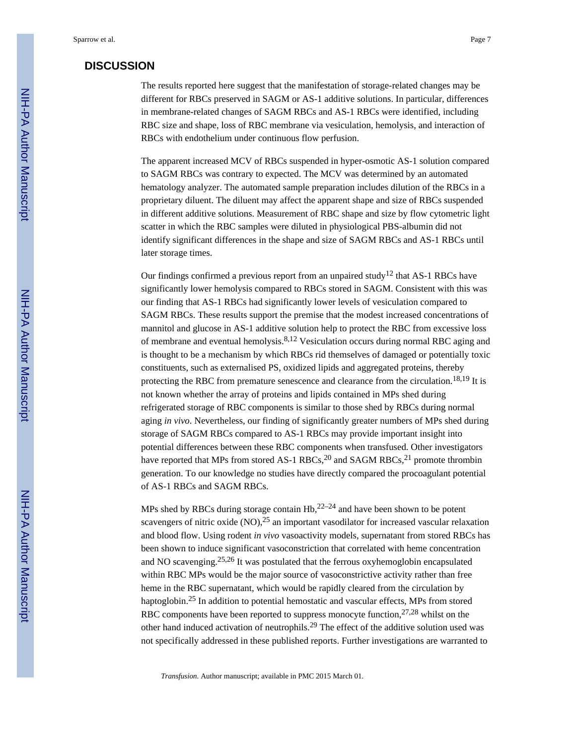## **DISCUSSION**

The results reported here suggest that the manifestation of storage-related changes may be different for RBCs preserved in SAGM or AS-1 additive solutions. In particular, differences in membrane-related changes of SAGM RBCs and AS-1 RBCs were identified, including RBC size and shape, loss of RBC membrane via vesiculation, hemolysis, and interaction of RBCs with endothelium under continuous flow perfusion.

The apparent increased MCV of RBCs suspended in hyper-osmotic AS-1 solution compared to SAGM RBCs was contrary to expected. The MCV was determined by an automated hematology analyzer. The automated sample preparation includes dilution of the RBCs in a proprietary diluent. The diluent may affect the apparent shape and size of RBCs suspended in different additive solutions. Measurement of RBC shape and size by flow cytometric light scatter in which the RBC samples were diluted in physiological PBS-albumin did not identify significant differences in the shape and size of SAGM RBCs and AS-1 RBCs until later storage times.

Our findings confirmed a previous report from an unpaired study<sup>12</sup> that AS-1 RBCs have significantly lower hemolysis compared to RBCs stored in SAGM. Consistent with this was our finding that AS-1 RBCs had significantly lower levels of vesiculation compared to SAGM RBCs. These results support the premise that the modest increased concentrations of mannitol and glucose in AS-1 additive solution help to protect the RBC from excessive loss of membrane and eventual hemolysis.8,12 Vesiculation occurs during normal RBC aging and is thought to be a mechanism by which RBCs rid themselves of damaged or potentially toxic constituents, such as externalised PS, oxidized lipids and aggregated proteins, thereby protecting the RBC from premature senescence and clearance from the circulation.<sup>18,19</sup> It is not known whether the array of proteins and lipids contained in MPs shed during refrigerated storage of RBC components is similar to those shed by RBCs during normal aging *in vivo*. Nevertheless, our finding of significantly greater numbers of MPs shed during storage of SAGM RBCs compared to AS-1 RBCs may provide important insight into potential differences between these RBC components when transfused. Other investigators have reported that MPs from stored AS-1 RBCs,<sup>20</sup> and SAGM RBCs,<sup>21</sup> promote thrombin generation. To our knowledge no studies have directly compared the procoagulant potential of AS-1 RBCs and SAGM RBCs.

MPs shed by RBCs during storage contain  $Hb^{22-24}$  and have been shown to be potent scavengers of nitric oxide  $(NO)$ ,  $^{25}$  an important vasodilator for increased vascular relaxation and blood flow. Using rodent *in vivo* vasoactivity models, supernatant from stored RBCs has been shown to induce significant vasoconstriction that correlated with heme concentration and NO scavenging.25,26 It was postulated that the ferrous oxyhemoglobin encapsulated within RBC MPs would be the major source of vasoconstrictive activity rather than free heme in the RBC supernatant, which would be rapidly cleared from the circulation by haptoglobin.25 In addition to potential hemostatic and vascular effects, MPs from stored RBC components have been reported to suppress monocyte function,  $27,28$  whilst on the other hand induced activation of neutrophils.29 The effect of the additive solution used was not specifically addressed in these published reports. Further investigations are warranted to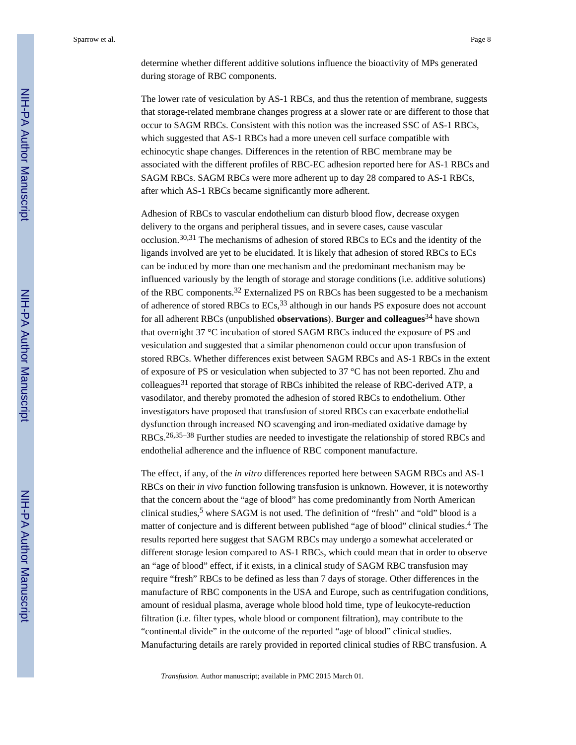determine whether different additive solutions influence the bioactivity of MPs generated during storage of RBC components.

The lower rate of vesiculation by AS-1 RBCs, and thus the retention of membrane, suggests that storage-related membrane changes progress at a slower rate or are different to those that occur to SAGM RBCs. Consistent with this notion was the increased SSC of AS-1 RBCs, which suggested that AS-1 RBCs had a more uneven cell surface compatible with echinocytic shape changes. Differences in the retention of RBC membrane may be associated with the different profiles of RBC-EC adhesion reported here for AS-1 RBCs and SAGM RBCs. SAGM RBCs were more adherent up to day 28 compared to AS-1 RBCs, after which AS-1 RBCs became significantly more adherent.

Adhesion of RBCs to vascular endothelium can disturb blood flow, decrease oxygen delivery to the organs and peripheral tissues, and in severe cases, cause vascular occlusion.30,31 The mechanisms of adhesion of stored RBCs to ECs and the identity of the ligands involved are yet to be elucidated. It is likely that adhesion of stored RBCs to ECs can be induced by more than one mechanism and the predominant mechanism may be influenced variously by the length of storage and storage conditions (i.e. additive solutions) of the RBC components.32 Externalized PS on RBCs has been suggested to be a mechanism of adherence of stored RBCs to ECs,33 although in our hands PS exposure does not account for all adherent RBCs (unpublished **observations**). **Burger and colleagues**34 have shown that overnight 37 °C incubation of stored SAGM RBCs induced the exposure of PS and vesiculation and suggested that a similar phenomenon could occur upon transfusion of stored RBCs. Whether differences exist between SAGM RBCs and AS-1 RBCs in the extent of exposure of PS or vesiculation when subjected to 37 °C has not been reported. Zhu and  $\text{colleagues}^{31}$  reported that storage of RBCs inhibited the release of RBC-derived ATP, a vasodilator, and thereby promoted the adhesion of stored RBCs to endothelium. Other investigators have proposed that transfusion of stored RBCs can exacerbate endothelial dysfunction through increased NO scavenging and iron-mediated oxidative damage by RBCs.26,35–38 Further studies are needed to investigate the relationship of stored RBCs and endothelial adherence and the influence of RBC component manufacture.

The effect, if any, of the *in vitro* differences reported here between SAGM RBCs and AS-1 RBCs on their *in vivo* function following transfusion is unknown. However, it is noteworthy that the concern about the "age of blood" has come predominantly from North American clinical studies,<sup>5</sup> where SAGM is not used. The definition of "fresh" and "old" blood is a matter of conjecture and is different between published "age of blood" clinical studies.<sup>4</sup> The results reported here suggest that SAGM RBCs may undergo a somewhat accelerated or different storage lesion compared to AS-1 RBCs, which could mean that in order to observe an "age of blood" effect, if it exists, in a clinical study of SAGM RBC transfusion may require "fresh" RBCs to be defined as less than 7 days of storage. Other differences in the manufacture of RBC components in the USA and Europe, such as centrifugation conditions, amount of residual plasma, average whole blood hold time, type of leukocyte-reduction filtration (i.e. filter types, whole blood or component filtration), may contribute to the "continental divide" in the outcome of the reported "age of blood" clinical studies. Manufacturing details are rarely provided in reported clinical studies of RBC transfusion. A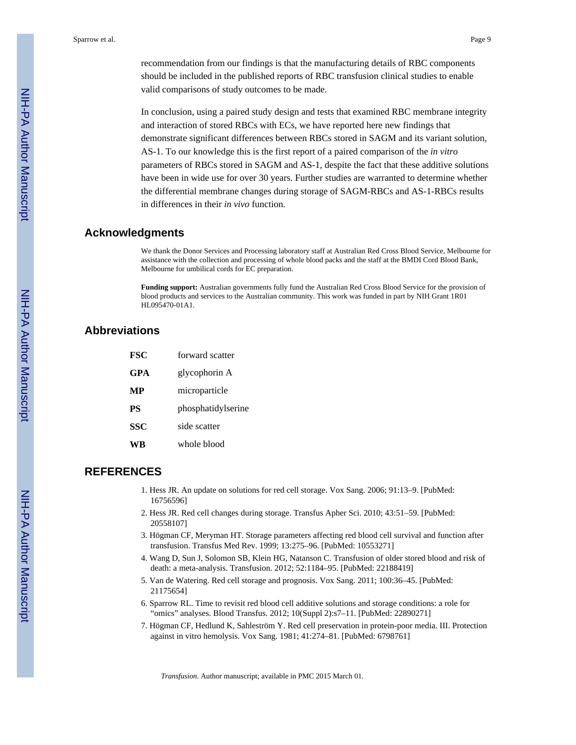recommendation from our findings is that the manufacturing details of RBC components should be included in the published reports of RBC transfusion clinical studies to enable valid comparisons of study outcomes to be made.

In conclusion, using a paired study design and tests that examined RBC membrane integrity and interaction of stored RBCs with ECs, we have reported here new findings that demonstrate significant differences between RBCs stored in SAGM and its variant solution, AS-1. To our knowledge this is the first report of a paired comparison of the *in vitro* parameters of RBCs stored in SAGM and AS-1, despite the fact that these additive solutions have been in wide use for over 30 years. Further studies are warranted to determine whether the differential membrane changes during storage of SAGM-RBCs and AS-1-RBCs results in differences in their *in vivo* function.

# **Acknowledgments**

We thank the Donor Services and Processing laboratory staff at Australian Red Cross Blood Service, Melbourne for assistance with the collection and processing of whole blood packs and the staff at the BMDI Cord Blood Bank, Melbourne for umbilical cords for EC preparation.

**Funding support:** Australian governments fully fund the Australian Red Cross Blood Service for the provision of blood products and services to the Australian community. This work was funded in part by NIH Grant 1R01 HL095470-01A1.

# **Abbreviations**

| <b>FSC</b> | forward scatter    |  |
|------------|--------------------|--|
| GPA        | glycophorin A      |  |
| MР         | microparticle      |  |
| <b>PS</b>  | phosphatidylserine |  |
| <b>SSC</b> | side scatter       |  |
| УK         | whole blood        |  |

# **REFERENCES**

- 1. Hess JR. An update on solutions for red cell storage. Vox Sang. 2006; 91:13–9. [PubMed: 16756596]
- 2. Hess JR. Red cell changes during storage. Transfus Apher Sci. 2010; 43:51–59. [PubMed: 20558107]
- 3. Högman CF, Meryman HT. Storage parameters affecting red blood cell survival and function after transfusion. Transfus Med Rev. 1999; 13:275–96. [PubMed: 10553271]
- 4. Wang D, Sun J, Solomon SB, Klein HG, Natanson C. Transfusion of older stored blood and risk of death: a meta-analysis. Transfusion. 2012; 52:1184–95. [PubMed: 22188419]
- 5. Van de Watering. Red cell storage and prognosis. Vox Sang. 2011; 100:36–45. [PubMed: 21175654]
- 6. Sparrow RL. Time to revisit red blood cell additive solutions and storage conditions: a role for "omics" analyses. Blood Transfus. 2012; 10(Suppl 2):s7–11. [PubMed: 22890271]
- 7. Högman CF, Hedlund K, Sahleström Y. Red cell preservation in protein-poor media. III. Protection against in vitro hemolysis. Vox Sang. 1981; 41:274–81. [PubMed: 6798761]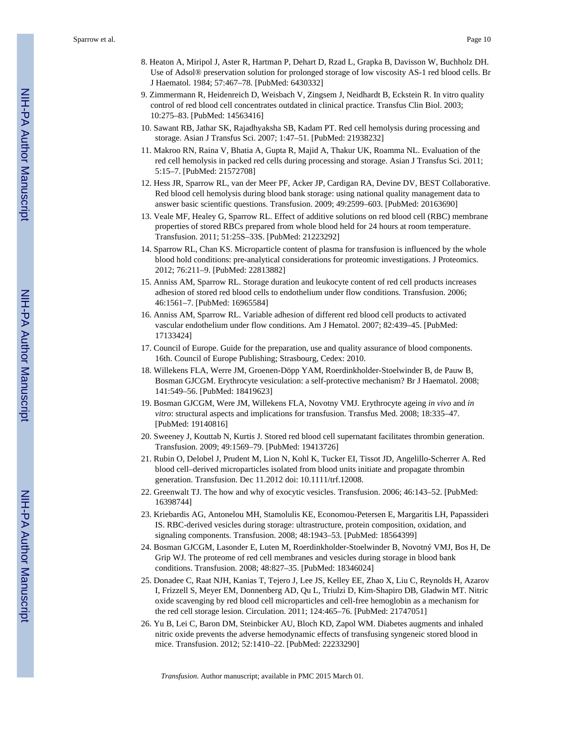- 8. Heaton A, Miripol J, Aster R, Hartman P, Dehart D, Rzad L, Grapka B, Davisson W, Buchholz DH. Use of Adsol® preservation solution for prolonged storage of low viscosity AS-1 red blood cells. Br J Haematol. 1984; 57:467–78. [PubMed: 6430332]
- 9. Zimmermann R, Heidenreich D, Weisbach V, Zingsem J, Neidhardt B, Eckstein R. In vitro quality control of red blood cell concentrates outdated in clinical practice. Transfus Clin Biol. 2003; 10:275–83. [PubMed: 14563416]
- 10. Sawant RB, Jathar SK, Rajadhyaksha SB, Kadam PT. Red cell hemolysis during processing and storage. Asian J Transfus Sci. 2007; 1:47–51. [PubMed: 21938232]
- 11. Makroo RN, Raina V, Bhatia A, Gupta R, Majid A, Thakur UK, Roamma NL. Evaluation of the red cell hemolysis in packed red cells during processing and storage. Asian J Transfus Sci. 2011; 5:15–7. [PubMed: 21572708]
- 12. Hess JR, Sparrow RL, van der Meer PF, Acker JP, Cardigan RA, Devine DV, BEST Collaborative. Red blood cell hemolysis during blood bank storage: using national quality management data to answer basic scientific questions. Transfusion. 2009; 49:2599–603. [PubMed: 20163690]
- 13. Veale MF, Healey G, Sparrow RL. Effect of additive solutions on red blood cell (RBC) membrane properties of stored RBCs prepared from whole blood held for 24 hours at room temperature. Transfusion. 2011; 51:25S–33S. [PubMed: 21223292]
- 14. Sparrow RL, Chan KS. Microparticle content of plasma for transfusion is influenced by the whole blood hold conditions: pre-analytical considerations for proteomic investigations. J Proteomics. 2012; 76:211–9. [PubMed: 22813882]
- 15. Anniss AM, Sparrow RL. Storage duration and leukocyte content of red cell products increases adhesion of stored red blood cells to endothelium under flow conditions. Transfusion. 2006; 46:1561–7. [PubMed: 16965584]
- 16. Anniss AM, Sparrow RL. Variable adhesion of different red blood cell products to activated vascular endothelium under flow conditions. Am J Hematol. 2007; 82:439–45. [PubMed: 17133424]
- 17. Council of Europe. Guide for the preparation, use and quality assurance of blood components. 16th. Council of Europe Publishing; Strasbourg, Cedex: 2010.
- 18. Willekens FLA, Werre JM, Groenen-Döpp YAM, Roerdinkholder-Stoelwinder B, de Pauw B, Bosman GJCGM. Erythrocyte vesiculation: a self-protective mechanism? Br J Haematol. 2008; 141:549–56. [PubMed: 18419623]
- 19. Bosman GJCGM, Were JM, Willekens FLA, Novotny VMJ. Erythrocyte ageing *in vivo* and *in vitro*: structural aspects and implications for transfusion. Transfus Med. 2008; 18:335–47. [PubMed: 19140816]
- 20. Sweeney J, Kouttab N, Kurtis J. Stored red blood cell supernatant facilitates thrombin generation. Transfusion. 2009; 49:1569–79. [PubMed: 19413726]
- 21. Rubin O, Delobel J, Prudent M, Lion N, Kohl K, Tucker EI, Tissot JD, Angelillo-Scherrer A. Red blood cell–derived microparticles isolated from blood units initiate and propagate thrombin generation. Transfusion. Dec 11.2012 doi: 10.1111/trf.12008.
- 22. Greenwalt TJ. The how and why of exocytic vesicles. Transfusion. 2006; 46:143–52. [PubMed: 16398744]
- 23. Kriebardis AG, Antonelou MH, Stamolulis KE, Economou-Petersen E, Margaritis LH, Papassideri IS. RBC-derived vesicles during storage: ultrastructure, protein composition, oxidation, and signaling components. Transfusion. 2008; 48:1943–53. [PubMed: 18564399]
- 24. Bosman GJCGM, Lasonder E, Luten M, Roerdinkholder-Stoelwinder B, Novotný VMJ, Bos H, De Grip WJ. The proteome of red cell membranes and vesicles during storage in blood bank conditions. Transfusion. 2008; 48:827–35. [PubMed: 18346024]
- 25. Donadee C, Raat NJH, Kanias T, Tejero J, Lee JS, Kelley EE, Zhao X, Liu C, Reynolds H, Azarov I, Frizzell S, Meyer EM, Donnenberg AD, Qu L, Triulzi D, Kim-Shapiro DB, Gladwin MT. Nitric oxide scavenging by red blood cell microparticles and cell-free hemoglobin as a mechanism for the red cell storage lesion. Circulation. 2011; 124:465–76. [PubMed: 21747051]
- 26. Yu B, Lei C, Baron DM, Steinbicker AU, Bloch KD, Zapol WM. Diabetes augments and inhaled nitric oxide prevents the adverse hemodynamic effects of transfusing syngeneic stored blood in mice. Transfusion. 2012; 52:1410–22. [PubMed: 22233290]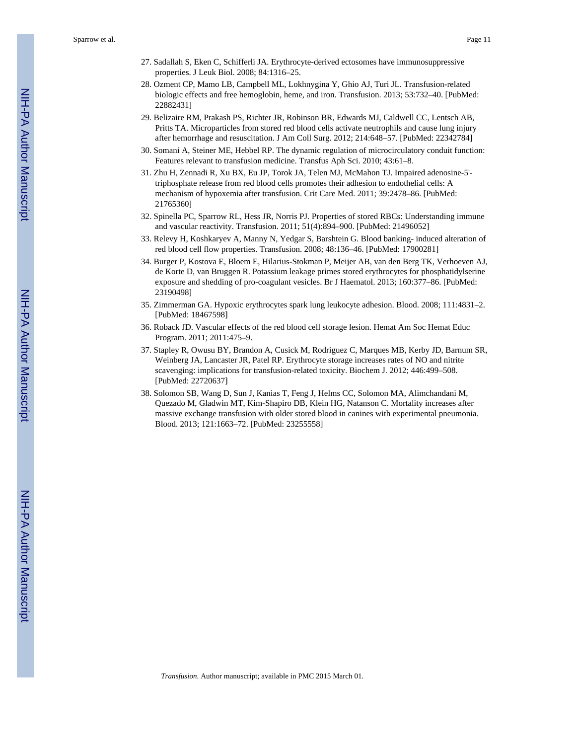- 27. Sadallah S, Eken C, Schifferli JA. Erythrocyte-derived ectosomes have immunosuppressive properties. J Leuk Biol. 2008; 84:1316–25.
- 28. Ozment CP, Mamo LB, Campbell ML, Lokhnygina Y, Ghio AJ, Turi JL. Transfusion-related biologic effects and free hemoglobin, heme, and iron. Transfusion. 2013; 53:732–40. [PubMed: 22882431]
- 29. Belizaire RM, Prakash PS, Richter JR, Robinson BR, Edwards MJ, Caldwell CC, Lentsch AB, Pritts TA. Microparticles from stored red blood cells activate neutrophils and cause lung injury after hemorrhage and resuscitation. J Am Coll Surg. 2012; 214:648–57. [PubMed: 22342784]
- 30. Somani A, Steiner ME, Hebbel RP. The dynamic regulation of microcirculatory conduit function: Features relevant to transfusion medicine. Transfus Aph Sci. 2010; 43:61–8.
- 31. Zhu H, Zennadi R, Xu BX, Eu JP, Torok JA, Telen MJ, McMahon TJ. Impaired adenosine-5' triphosphate release from red blood cells promotes their adhesion to endothelial cells: A mechanism of hypoxemia after transfusion. Crit Care Med. 2011; 39:2478–86. [PubMed: 21765360]
- 32. Spinella PC, Sparrow RL, Hess JR, Norris PJ. Properties of stored RBCs: Understanding immune and vascular reactivity. Transfusion. 2011; 51(4):894–900. [PubMed: 21496052]
- 33. Relevy H, Koshkaryev A, Manny N, Yedgar S, Barshtein G. Blood banking- induced alteration of red blood cell flow properties. Transfusion. 2008; 48:136–46. [PubMed: 17900281]
- 34. Burger P, Kostova E, Bloem E, Hilarius-Stokman P, Meijer AB, van den Berg TK, Verhoeven AJ, de Korte D, van Bruggen R. Potassium leakage primes stored erythrocytes for phosphatidylserine exposure and shedding of pro-coagulant vesicles. Br J Haematol. 2013; 160:377–86. [PubMed: 23190498]
- 35. Zimmerman GA. Hypoxic erythrocytes spark lung leukocyte adhesion. Blood. 2008; 111:4831–2. [PubMed: 18467598]
- 36. Roback JD. Vascular effects of the red blood cell storage lesion. Hemat Am Soc Hemat Educ Program. 2011; 2011:475–9.
- 37. Stapley R, Owusu BY, Brandon A, Cusick M, Rodriguez C, Marques MB, Kerby JD, Barnum SR, Weinberg JA, Lancaster JR, Patel RP. Erythrocyte storage increases rates of NO and nitrite scavenging: implications for transfusion-related toxicity. Biochem J. 2012; 446:499–508. [PubMed: 22720637]
- 38. Solomon SB, Wang D, Sun J, Kanias T, Feng J, Helms CC, Solomon MA, Alimchandani M, Quezado M, Gladwin MT, Kim-Shapiro DB, Klein HG, Natanson C. Mortality increases after massive exchange transfusion with older stored blood in canines with experimental pneumonia. Blood. 2013; 121:1663–72. [PubMed: 23255558]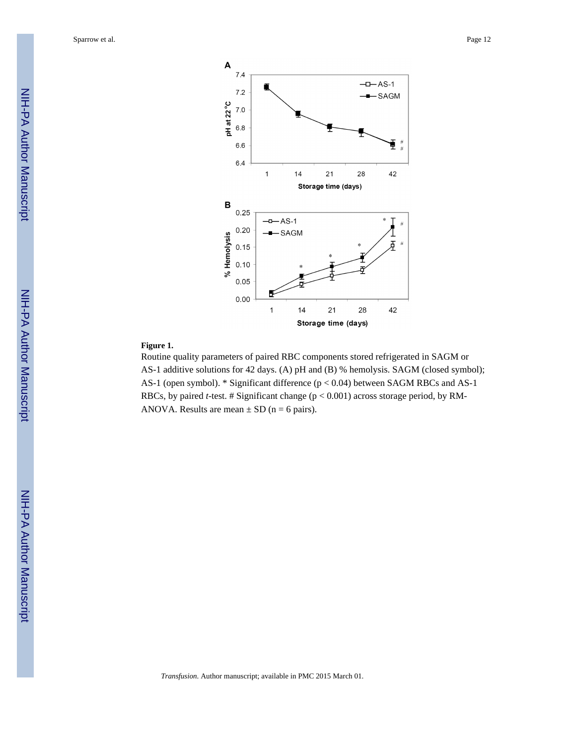

#### **Figure 1.**

Routine quality parameters of paired RBC components stored refrigerated in SAGM or AS-1 additive solutions for 42 days. (A) pH and (B) % hemolysis. SAGM (closed symbol); AS-1 (open symbol). \* Significant difference (p < 0.04) between SAGM RBCs and AS-1 RBCs, by paired *t*-test. # Significant change (p < 0.001) across storage period, by RM-ANOVA. Results are mean  $\pm$  SD (n = 6 pairs).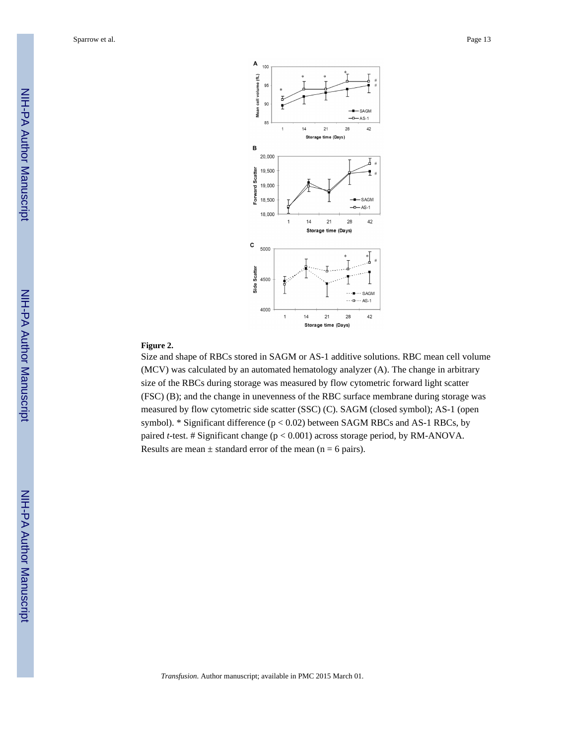

#### **Figure 2.**

Size and shape of RBCs stored in SAGM or AS-1 additive solutions. RBC mean cell volume (MCV) was calculated by an automated hematology analyzer (A). The change in arbitrary size of the RBCs during storage was measured by flow cytometric forward light scatter (FSC) (B); and the change in unevenness of the RBC surface membrane during storage was measured by flow cytometric side scatter (SSC) (C). SAGM (closed symbol); AS-1 (open symbol). \* Significant difference ( $p < 0.02$ ) between SAGM RBCs and AS-1 RBCs, by paired *t*-test. # Significant change (p < 0.001) across storage period, by RM-ANOVA. Results are mean  $\pm$  standard error of the mean (n = 6 pairs).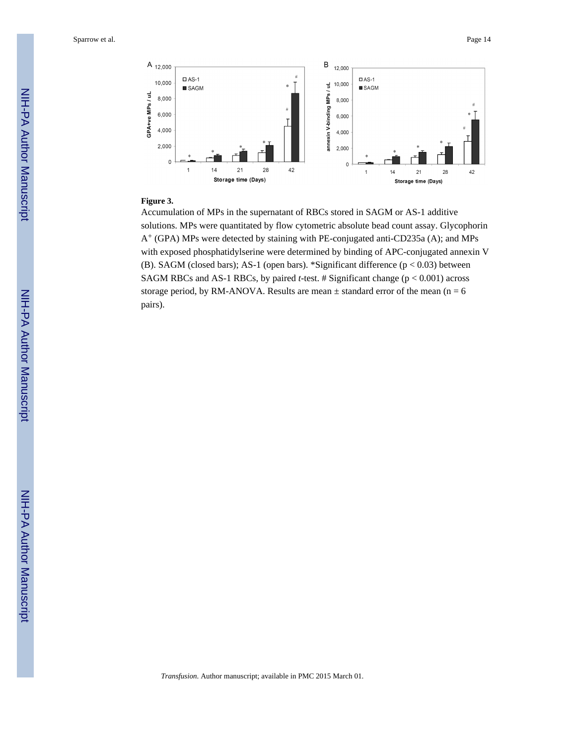

#### **Figure 3.**

Accumulation of MPs in the supernatant of RBCs stored in SAGM or AS-1 additive solutions. MPs were quantitated by flow cytometric absolute bead count assay. Glycophorin  $A^+$  (GPA) MPs were detected by staining with PE-conjugated anti-CD235a (A); and MPs with exposed phosphatidylserine were determined by binding of APC-conjugated annexin V (B). SAGM (closed bars); AS-1 (open bars). \*Significant difference (p < 0.03) between SAGM RBCs and AS-1 RBCs, by paired *t*-test. # Significant change (p < 0.001) across storage period, by RM-ANOVA. Results are mean  $\pm$  standard error of the mean (n = 6 pairs).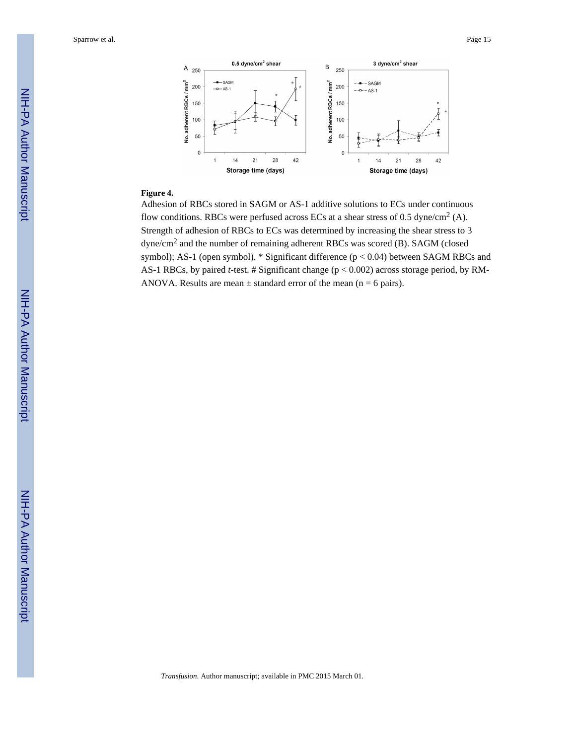

#### **Figure 4.**

Adhesion of RBCs stored in SAGM or AS-1 additive solutions to ECs under continuous flow conditions. RBCs were perfused across ECs at a shear stress of 0.5 dyne/cm<sup>2</sup> (A). Strength of adhesion of RBCs to ECs was determined by increasing the shear stress to 3 dyne/cm<sup>2</sup> and the number of remaining adherent RBCs was scored (B). SAGM (closed symbol); AS-1 (open symbol). \* Significant difference (p < 0.04) between SAGM RBCs and AS-1 RBCs, by paired *t*-test. # Significant change (p < 0.002) across storage period, by RM-ANOVA. Results are mean  $\pm$  standard error of the mean (n = 6 pairs).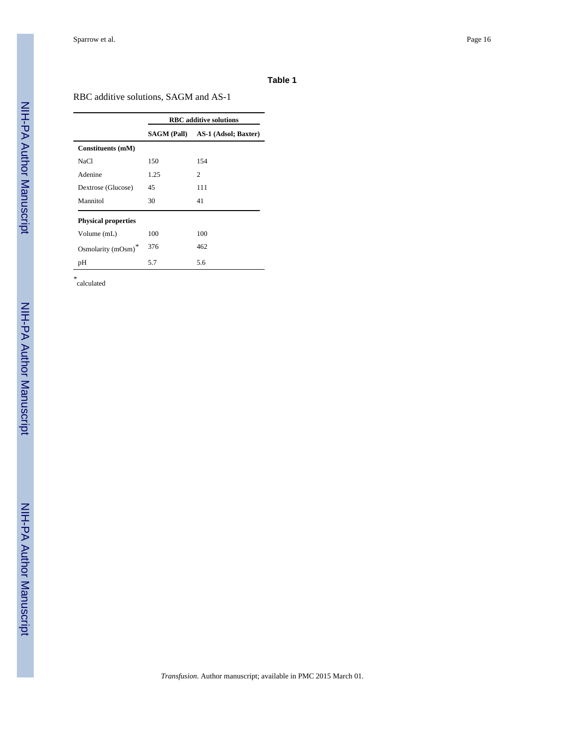#### **Table 1**

RBC additive solutions, SAGM and AS-1

|                            | <b>RBC</b> additive solutions |                                  |  |
|----------------------------|-------------------------------|----------------------------------|--|
|                            |                               | SAGM (Pall) AS-1 (Adsol; Baxter) |  |
| Constituents (mM)          |                               |                                  |  |
| NaCl                       | 150                           | 154                              |  |
| Adenine                    | 1.25                          | $\overline{c}$                   |  |
| Dextrose (Glucose)         | 45                            | 111                              |  |
| Mannitol                   | 30                            | 41                               |  |
| <b>Physical properties</b> |                               |                                  |  |
| Volume (mL)                | 100                           | 100                              |  |
| Osmolarity (mOsm)*         | 376                           | 462                              |  |
| рH                         | 5.7                           | 5.6                              |  |

*\** calculated